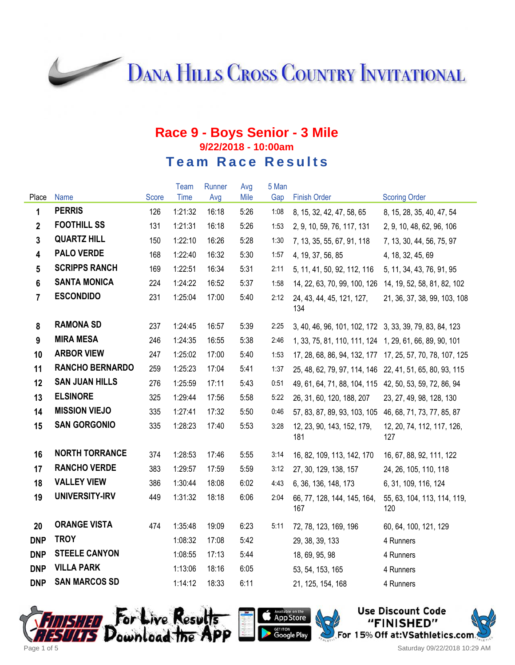**DANA HILLS CROSS COUNTRY INVITATIONAL** 

### **Race 9 - Boys Senior - 3 Mile 9/22/2018 - 10:00am Team Race Results**

|                         |                        |       | Team    | Runner | Avg  | 5 Man |                                                          |                                                           |
|-------------------------|------------------------|-------|---------|--------|------|-------|----------------------------------------------------------|-----------------------------------------------------------|
| Place                   | <b>Name</b>            | Score | Time    | Avg    | Mile | Gap   | <b>Finish Order</b>                                      | <b>Scoring Order</b>                                      |
| 1                       | <b>PERRIS</b>          | 126   | 1:21:32 | 16:18  | 5:26 | 1:08  | 8, 15, 32, 42, 47, 58, 65                                | 8, 15, 28, 35, 40, 47, 54                                 |
| $\mathbf{2}$            | <b>FOOTHILL SS</b>     | 131   | 1:21:31 | 16:18  | 5:26 | 1:53  | 2, 9, 10, 59, 76, 117, 131                               | 2, 9, 10, 48, 62, 96, 106                                 |
| $\overline{3}$          | <b>QUARTZ HILL</b>     | 150   | 1:22:10 | 16:26  | 5:28 | 1:30  | 7, 13, 35, 55, 67, 91, 118                               | 7, 13, 30, 44, 56, 75, 97                                 |
| $\overline{\mathbf{4}}$ | <b>PALO VERDE</b>      | 168   | 1:22:40 | 16:32  | 5:30 | 1:57  | 4, 19, 37, 56, 85                                        | 4, 18, 32, 45, 69                                         |
| $5\phantom{.0}$         | <b>SCRIPPS RANCH</b>   | 169   | 1:22:51 | 16:34  | 5:31 | 2:11  | 5, 11, 41, 50, 92, 112, 116                              | 5, 11, 34, 43, 76, 91, 95                                 |
| 6                       | <b>SANTA MONICA</b>    | 224   | 1:24:22 | 16:52  | 5:37 | 1:58  | 14, 22, 63, 70, 99, 100, 126                             | 14, 19, 52, 58, 81, 82, 102                               |
| $\overline{7}$          | <b>ESCONDIDO</b>       | 231   | 1:25:04 | 17:00  | 5:40 | 2:12  | 24, 43, 44, 45, 121, 127,<br>134                         | 21, 36, 37, 38, 99, 103, 108                              |
| 8                       | <b>RAMONA SD</b>       | 237   | 1:24:45 | 16:57  | 5:39 | 2:25  | 3, 40, 46, 96, 101, 102, 172 3, 33, 39, 79, 83, 84, 123  |                                                           |
| 9                       | <b>MIRA MESA</b>       | 246   | 1:24:35 | 16:55  | 5:38 | 2:46  | 1, 33, 75, 81, 110, 111, 124 1, 29, 61, 66, 89, 90, 101  |                                                           |
| 10                      | <b>ARBOR VIEW</b>      | 247   | 1:25:02 | 17:00  | 5:40 | 1:53  |                                                          | 17, 28, 68, 86, 94, 132, 177 17, 25, 57, 70, 78, 107, 125 |
| 11                      | <b>RANCHO BERNARDO</b> | 259   | 1:25:23 | 17:04  | 5:41 | 1:37  | 25, 48, 62, 79, 97, 114, 146 22, 41, 51, 65, 80, 93, 115 |                                                           |
| 12                      | <b>SAN JUAN HILLS</b>  | 276   | 1:25:59 | 17:11  | 5:43 | 0:51  | 49, 61, 64, 71, 88, 104, 115 42, 50, 53, 59, 72, 86, 94  |                                                           |
| 13                      | <b>ELSINORE</b>        | 325   | 1:29:44 | 17:56  | 5:58 | 5:22  | 26, 31, 60, 120, 188, 207                                | 23, 27, 49, 98, 128, 130                                  |
| 14                      | <b>MISSION VIEJO</b>   | 335   | 1:27:41 | 17:32  | 5:50 | 0:46  | 57, 83, 87, 89, 93, 103, 105 46, 68, 71, 73, 77, 85, 87  |                                                           |
| 15                      | <b>SAN GORGONIO</b>    | 335   | 1:28:23 | 17:40  | 5:53 | 3:28  | 12, 23, 90, 143, 152, 179,<br>181                        | 12, 20, 74, 112, 117, 126,<br>127                         |
| 16                      | <b>NORTH TORRANCE</b>  | 374   | 1:28:53 | 17:46  | 5:55 | 3:14  | 16, 82, 109, 113, 142, 170                               | 16, 67, 88, 92, 111, 122                                  |
| 17                      | <b>RANCHO VERDE</b>    | 383   | 1:29:57 | 17:59  | 5:59 | 3:12  | 27, 30, 129, 138, 157                                    | 24, 26, 105, 110, 118                                     |
| 18                      | <b>VALLEY VIEW</b>     | 386   | 1:30:44 | 18:08  | 6:02 | 4:43  | 6, 36, 136, 148, 173                                     | 6, 31, 109, 116, 124                                      |
| 19                      | UNIVERSITY-IRV         | 449   | 1:31:32 | 18:18  | 6:06 | 2:04  | 66, 77, 128, 144, 145, 164,<br>167                       | 55, 63, 104, 113, 114, 119,<br>120                        |
| 20                      | <b>ORANGE VISTA</b>    | 474   | 1:35:48 | 19:09  | 6:23 | 5:11  | 72, 78, 123, 169, 196                                    | 60, 64, 100, 121, 129                                     |
| <b>DNP</b>              | <b>TROY</b>            |       | 1:08:32 | 17:08  | 5:42 |       | 29, 38, 39, 133                                          | 4 Runners                                                 |
| <b>DNP</b>              | <b>STEELE CANYON</b>   |       | 1:08:55 | 17:13  | 5:44 |       | 18, 69, 95, 98                                           | 4 Runners                                                 |
| <b>DNP</b>              | <b>VILLA PARK</b>      |       | 1:13:06 | 18:16  | 6:05 |       | 53, 54, 153, 165                                         | 4 Runners                                                 |
| <b>DNP</b>              | <b>SAN MARCOS SD</b>   |       | 1:14:12 | 18:33  | 6:11 |       | 21, 125, 154, 168                                        | 4 Runners                                                 |





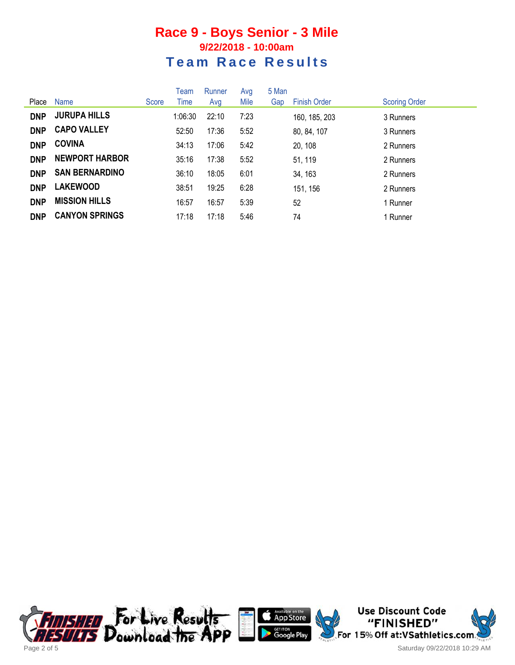### **Race 9 - Boys Senior - 3 Mile 9/22/2018 - 10:00am Team Race Results**

|            |                       |       | Team    | Runner | Avg  | 5 Man |                     |                      |
|------------|-----------------------|-------|---------|--------|------|-------|---------------------|----------------------|
| Place      | Name                  | Score | Time    | Avg    | Mile | Gap   | <b>Finish Order</b> | <b>Scoring Order</b> |
| <b>DNP</b> | <b>JURUPA HILLS</b>   |       | 1:06:30 | 22:10  | 7:23 |       | 160, 185, 203       | 3 Runners            |
| <b>DNP</b> | <b>CAPO VALLEY</b>    |       | 52:50   | 17:36  | 5:52 |       | 80, 84, 107         | 3 Runners            |
| <b>DNP</b> | <b>COVINA</b>         |       | 34:13   | 17:06  | 5:42 |       | 20, 108             | 2 Runners            |
| <b>DNP</b> | <b>NEWPORT HARBOR</b> |       | 35:16   | 17:38  | 5:52 |       | 51, 119             | 2 Runners            |
| <b>DNP</b> | <b>SAN BERNARDINO</b> |       | 36:10   | 18:05  | 6:01 |       | 34, 163             | 2 Runners            |
| <b>DNP</b> | <b>LAKEWOOD</b>       |       | 38:51   | 19:25  | 6:28 |       | 151, 156            | 2 Runners            |
| <b>DNP</b> | <b>MISSION HILLS</b>  |       | 16:57   | 16:57  | 5:39 |       | 52                  | 1 Runner             |
| <b>DNP</b> | <b>CANYON SPRINGS</b> |       | 17:18   | 17:18  | 5:46 |       | 74                  | 1 Runner             |





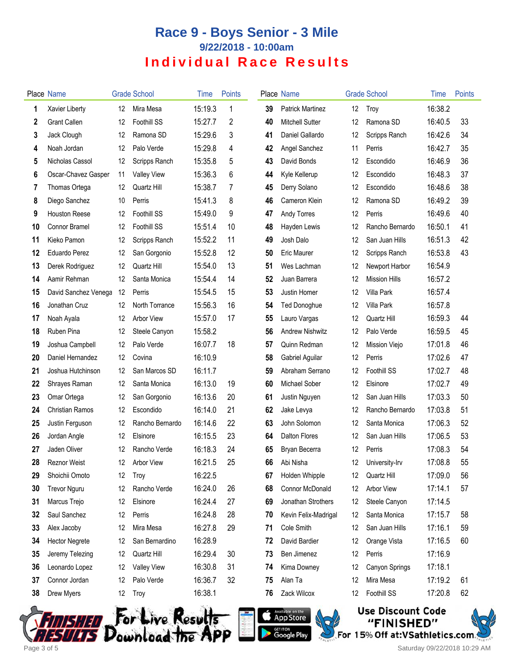# **Race 9 - Boys Senior - 3 Mile 9/22/2018 - 10:00am Individual Race Results**

|    | <b>Place Name</b>      |    | <b>Grade School</b> | Time    | <b>Points</b> |    | <b>Place Name</b>       |    | <b>Grade School</b>  | Time    | <b>Points</b> |
|----|------------------------|----|---------------------|---------|---------------|----|-------------------------|----|----------------------|---------|---------------|
| 1  | Xavier Liberty         | 12 | Mira Mesa           | 15:19.3 | 1             | 39 | <b>Patrick Martinez</b> | 12 | Troy                 | 16:38.2 |               |
| 2  | <b>Grant Callen</b>    | 12 | <b>Foothill SS</b>  | 15:27.7 | 2             | 40 | <b>Mitchell Sutter</b>  | 12 | Ramona SD            | 16:40.5 | 33            |
| 3  | Jack Clough            | 12 | Ramona SD           | 15:29.6 | 3             | 41 | Daniel Gallardo         | 12 | Scripps Ranch        | 16:42.6 | 34            |
| 4  | Noah Jordan            | 12 | Palo Verde          | 15:29.8 | 4             | 42 | Angel Sanchez           | 11 | Perris               | 16:42.7 | 35            |
| 5  | Nicholas Cassol        | 12 | Scripps Ranch       | 15:35.8 | 5             | 43 | David Bonds             | 12 | Escondido            | 16:46.9 | 36            |
| 6  | Oscar-Chavez Gasper    | 11 | <b>Valley View</b>  | 15:36.3 | 6             | 44 | Kyle Kellerup           | 12 | Escondido            | 16:48.3 | 37            |
| 7  | Thomas Ortega          | 12 | Quartz Hill         | 15:38.7 | 7             | 45 | Derry Solano            | 12 | Escondido            | 16:48.6 | 38            |
| 8  | Diego Sanchez          | 10 | Perris              | 15:41.3 | 8             | 46 | Cameron Klein           | 12 | Ramona SD            | 16:49.2 | 39            |
| 9  | <b>Houston Reese</b>   | 12 | <b>Foothill SS</b>  | 15:49.0 | 9             | 47 | Andy Torres             | 12 | Perris               | 16:49.6 | 40            |
| 10 | Connor Bramel          | 12 | Foothill SS         | 15:51.4 | 10            | 48 | Hayden Lewis            | 12 | Rancho Bernardo      | 16:50.1 | 41            |
| 11 | Kieko Pamon            | 12 | Scripps Ranch       | 15:52.2 | 11            | 49 | Josh Dalo               | 12 | San Juan Hills       | 16:51.3 | 42            |
| 12 | <b>Eduardo Perez</b>   | 12 | San Gorgonio        | 15:52.8 | 12            | 50 | <b>Eric Maurer</b>      | 12 | Scripps Ranch        | 16:53.8 | 43            |
| 13 | Derek Rodriguez        | 12 | Quartz Hill         | 15:54.0 | 13            | 51 | Wes Lachman             | 12 | Newport Harbor       | 16:54.9 |               |
| 14 | Aamir Rehman           | 12 | Santa Monica        | 15:54.4 | 14            | 52 | Juan Barrera            | 12 | <b>Mission Hills</b> | 16:57.2 |               |
| 15 | David Sanchez Venega   | 12 | Perris              | 15:54.5 | 15            | 53 | Justin Homer            | 12 | Villa Park           | 16:57.4 |               |
| 16 | Jonathan Cruz          | 12 | North Torrance      | 15:56.3 | 16            | 54 | <b>Ted Donoghue</b>     | 12 | Villa Park           | 16:57.8 |               |
| 17 | Noah Ayala             | 12 | Arbor View          | 15:57.0 | 17            | 55 | Lauro Vargas            | 12 | Quartz Hill          | 16:59.3 | 44            |
| 18 | Ruben Pina             | 12 | Steele Canyon       | 15:58.2 |               | 56 | <b>Andrew Nishwitz</b>  | 12 | Palo Verde           | 16:59.5 | 45            |
| 19 | Joshua Campbell        | 12 | Palo Verde          | 16:07.7 | 18            | 57 | Quinn Redman            | 12 | Mission Viejo        | 17:01.8 | 46            |
| 20 | Daniel Hernandez       | 12 | Covina              | 16:10.9 |               | 58 | Gabriel Aguilar         | 12 | Perris               | 17:02.6 | 47            |
| 21 | Joshua Hutchinson      | 12 | San Marcos SD       | 16:11.7 |               | 59 | Abraham Serrano         | 12 | Foothill SS          | 17:02.7 | 48            |
| 22 | Shrayes Raman          | 12 | Santa Monica        | 16:13.0 | 19            | 60 | Michael Sober           | 12 | Elsinore             | 17:02.7 | 49            |
| 23 | Omar Ortega            | 12 | San Gorgonio        | 16:13.6 | 20            | 61 | Justin Nguyen           | 12 | San Juan Hills       | 17:03.3 | 50            |
| 24 | <b>Christian Ramos</b> | 12 | Escondido           | 16:14.0 | 21            | 62 | Jake Levya              | 12 | Rancho Bernardo      | 17:03.8 | 51            |
| 25 | Justin Ferguson        | 12 | Rancho Bernardo     | 16:14.6 | 22            | 63 | John Solomon            | 12 | Santa Monica         | 17:06.3 | 52            |
| 26 | Jordan Angle           | 12 | Elsinore            | 16:15.5 | 23            | 64 | <b>Dalton Flores</b>    | 12 | San Juan Hills       | 17:06.5 | 53            |
| 27 | Jaden Oliver           | 12 | Rancho Verde        | 16:18.3 | 24            | 65 | Bryan Becerra           | 12 | Perris               | 17:08.3 | 54            |
| 28 | Reznor Weist           | 12 | Arbor View          | 16:21.5 | 25            | 66 | Abi Nisha               | 12 | University-Irv       | 17:08.8 | 55            |
| 29 | Shoichii Omoto         | 12 | Troy                | 16:22.5 |               | 67 | Holden Whipple          | 12 | Quartz Hill          | 17:09.0 | 56            |
| 30 | <b>Trevor Nguru</b>    | 12 | Rancho Verde        | 16:24.0 | 26            | 68 | Connor McDonald         | 12 | Arbor View           | 17:14.1 | 57            |
| 31 | Marcus Trejo           | 12 | Elsinore            | 16:24.4 | 27            | 69 | Jonathan Strothers      | 12 | Steele Canyon        | 17:14.5 |               |
| 32 | Saul Sanchez           | 12 | Perris              | 16:24.8 | 28            | 70 | Kevin Felix-Madrigal    | 12 | Santa Monica         | 17:15.7 | 58            |
| 33 | Alex Jacoby            | 12 | Mira Mesa           | 16:27.8 | 29            | 71 | Cole Smith              | 12 | San Juan Hills       | 17:16.1 | 59            |
| 34 | <b>Hector Negrete</b>  | 12 | San Bernardino      | 16:28.9 |               | 72 | David Bardier           | 12 | Orange Vista         | 17:16.5 | 60            |
| 35 | Jeremy Telezing        | 12 | Quartz Hill         | 16:29.4 | 30            | 73 | Ben Jimenez             | 12 | Perris               | 17:16.9 |               |
| 36 | Leonardo Lopez         | 12 | <b>Valley View</b>  | 16:30.8 | 31            | 74 | Kima Downey             | 12 | Canyon Springs       | 17:18.1 |               |
| 37 | Connor Jordan          | 12 | Palo Verde          | 16:36.7 | 32            | 75 | Alan Ta                 | 12 | Mira Mesa            | 17:19.2 | 61            |
| 38 | Drew Myers             | 12 | Troy                | 16:38.1 |               | 76 | Zack Wilcox             | 12 | Foothill SS          | 17:20.8 | 62            |
|    |                        |    |                     |         |               |    |                         |    |                      |         |               |





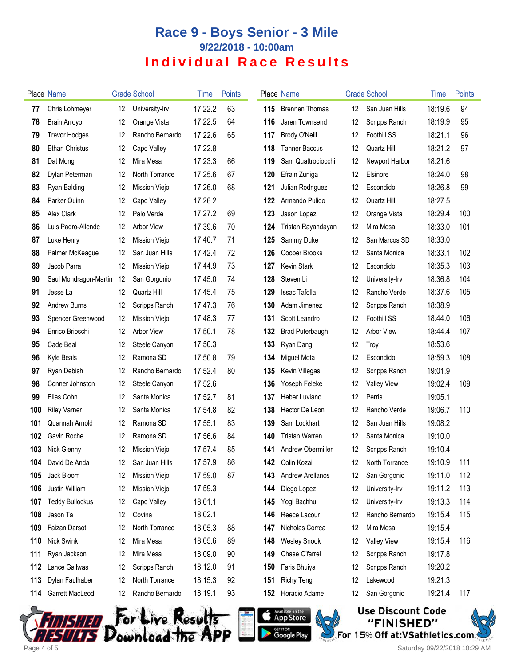# **Race 9 - Boys Senior - 3 Mile 9/22/2018 - 10:00am Individual Race Results**

|     | Place Name             |    | <b>Grade School</b> | Time    | <b>Points</b> |     | Place Name              |    | <b>Grade School</b> | Time    | <b>Points</b> |
|-----|------------------------|----|---------------------|---------|---------------|-----|-------------------------|----|---------------------|---------|---------------|
| 77  | Chris Lohmeyer         | 12 | University-Irv      | 17:22.2 | 63            | 115 | <b>Brennen Thomas</b>   | 12 | San Juan Hills      | 18:19.6 | 94            |
| 78  | <b>Brain Arroyo</b>    | 12 | Orange Vista        | 17:22.5 | 64            | 116 | Jaren Townsend          | 12 | Scripps Ranch       | 18:19.9 | 95            |
| 79  | <b>Trevor Hodges</b>   | 12 | Rancho Bernardo     | 17:22.6 | 65            | 117 | Brody O'Neill           | 12 | Foothill SS         | 18:21.1 | 96            |
| 80  | Ethan Christus         | 12 | Capo Valley         | 17:22.8 |               | 118 | <b>Tanner Baccus</b>    | 12 | Quartz Hill         | 18:21.2 | 97            |
| 81  | Dat Mong               | 12 | Mira Mesa           | 17:23.3 | 66            | 119 | Sam Quattrociocchi      | 12 | Newport Harbor      | 18:21.6 |               |
| 82  | Dylan Peterman         | 12 | North Torrance      | 17:25.6 | 67            | 120 | Efrain Zuniga           | 12 | Elsinore            | 18:24.0 | 98            |
| 83  | Ryan Balding           | 12 | Mission Viejo       | 17:26.0 | 68            | 121 | Julian Rodriguez        | 12 | Escondido           | 18:26.8 | 99            |
| 84  | Parker Quinn           | 12 | Capo Valley         | 17:26.2 |               | 122 | Armando Pulido          | 12 | Quartz Hill         | 18:27.5 |               |
| 85  | Alex Clark             | 12 | Palo Verde          | 17:27.2 | 69            | 123 | Jason Lopez             | 12 | Orange Vista        | 18:29.4 | 100           |
| 86  | Luis Padro-Allende     | 12 | Arbor View          | 17:39.6 | 70            | 124 | Tristan Rayandayan      | 12 | Mira Mesa           | 18:33.0 | 101           |
| 87  | Luke Henry             | 12 | Mission Viejo       | 17:40.7 | 71            | 125 | Sammy Duke              | 12 | San Marcos SD       | 18:33.0 |               |
| 88  | Palmer McKeague        | 12 | San Juan Hills      | 17:42.4 | 72            | 126 | Cooper Brooks           | 12 | Santa Monica        | 18:33.1 | 102           |
| 89  | Jacob Parra            | 12 | Mission Viejo       | 17:44.9 | 73            | 127 | <b>Kevin Stark</b>      | 12 | Escondido           | 18:35.3 | 103           |
| 90  | Saul Mondragon-Martin  | 12 | San Gorgonio        | 17:45.0 | 74            | 128 | Steven Li               | 12 | University-Irv      | 18:36.8 | 104           |
| 91  | Jesse La               | 12 | Quartz Hill         | 17:45.4 | 75            | 129 | Issac Tafolla           | 12 | Rancho Verde        | 18:37.6 | 105           |
| 92  | <b>Andrew Burns</b>    | 12 | Scripps Ranch       | 17:47.3 | 76            | 130 | Adam Jimenez            | 12 | Scripps Ranch       | 18:38.9 |               |
| 93  | Spencer Greenwood      | 12 | Mission Viejo       | 17:48.3 | 77            | 131 | Scott Leandro           | 12 | <b>Foothill SS</b>  | 18:44.0 | 106           |
| 94  | Enrico Brioschi        | 12 | <b>Arbor View</b>   | 17:50.1 | 78            | 132 | <b>Brad Puterbaugh</b>  | 12 | <b>Arbor View</b>   | 18:44.4 | 107           |
| 95  | Cade Beal              | 12 | Steele Canyon       | 17:50.3 |               | 133 | Ryan Dang               | 12 | Troy                | 18:53.6 |               |
| 96  | <b>Kyle Beals</b>      | 12 | Ramona SD           | 17:50.8 | 79            | 134 | Miguel Mota             | 12 | Escondido           | 18:59.3 | 108           |
| 97  | Ryan Debish            | 12 | Rancho Bernardo     | 17:52.4 | 80            | 135 | Kevin Villegas          | 12 | Scripps Ranch       | 19:01.9 |               |
| 98  | Conner Johnston        | 12 | Steele Canyon       | 17:52.6 |               | 136 | Yoseph Feleke           | 12 | <b>Valley View</b>  | 19:02.4 | 109           |
| 99  | Elias Cohn             | 12 | Santa Monica        | 17:52.7 | 81            | 137 | Heber Luviano           | 12 | Perris              | 19:05.1 |               |
| 100 | <b>Riley Varner</b>    | 12 | Santa Monica        | 17:54.8 | 82            | 138 | Hector De Leon          | 12 | Rancho Verde        | 19:06.7 | 110           |
| 101 | Quannah Arnold         | 12 | Ramona SD           | 17:55.1 | 83            | 139 | Sam Lockhart            | 12 | San Juan Hills      | 19:08.2 |               |
| 102 | Gavin Roche            | 12 | Ramona SD           | 17:56.6 | 84            | 140 | <b>Tristan Warren</b>   | 12 | Santa Monica        | 19:10.0 |               |
| 103 | Nick Glenny            | 12 | Mission Viejo       | 17:57.4 | 85            | 141 | Andrew Obermiller       | 12 | Scripps Ranch       | 19:10.4 |               |
| 104 | David De Anda          | 12 | San Juan Hills      | 17:57.9 | 86            |     | <b>142</b> Colin Kozai  | 12 | North Torrance      | 19:10.9 | 111           |
| 105 | Jack Bloom             | 12 | Mission Viejo       | 17:59.0 | 87            | 143 | <b>Andrew Arellanos</b> | 12 | San Gorgonio        | 19:11.0 | 112           |
| 106 | Justin William         | 12 | Mission Viejo       | 17:59.3 |               | 144 | Diego Lopez             | 12 | University-Irv      | 19:11.2 | 113           |
| 107 | <b>Teddy Bullockus</b> | 12 | Capo Valley         | 18:01.1 |               | 145 | Yogi Bachhu             | 12 | University-Irv      | 19:13.3 | 114           |
| 108 | Jason Ta               | 12 | Covina              | 18:02.1 |               | 146 | Reece Lacour            | 12 | Rancho Bernardo     | 19:15.4 | 115           |
| 109 | Faizan Darsot          | 12 | North Torrance      | 18:05.3 | 88            | 147 | Nicholas Correa         | 12 | Mira Mesa           | 19:15.4 |               |
| 110 | <b>Nick Swink</b>      | 12 | Mira Mesa           | 18:05.6 | 89            | 148 | <b>Wesley Snook</b>     | 12 | <b>Valley View</b>  | 19:15.4 | 116           |
| 111 | Ryan Jackson           | 12 | Mira Mesa           | 18:09.0 | 90            | 149 | Chase O'farrel          | 12 | Scripps Ranch       | 19:17.8 |               |
| 112 | Lance Gallwas          | 12 | Scripps Ranch       | 18:12.0 | 91            | 150 | Faris Bhuiya            | 12 | Scripps Ranch       | 19:20.2 |               |
| 113 | Dylan Faulhaber        | 12 | North Torrance      | 18:15.3 | 92            | 151 | <b>Richy Teng</b>       | 12 | Lakewood            | 19:21.3 |               |
| 114 | Garrett MacLeod        | 12 | Rancho Bernardo     | 18:19.1 | 93            | 152 | Horacio Adame           | 12 | San Gorgonio        | 19:21.4 | 117           |